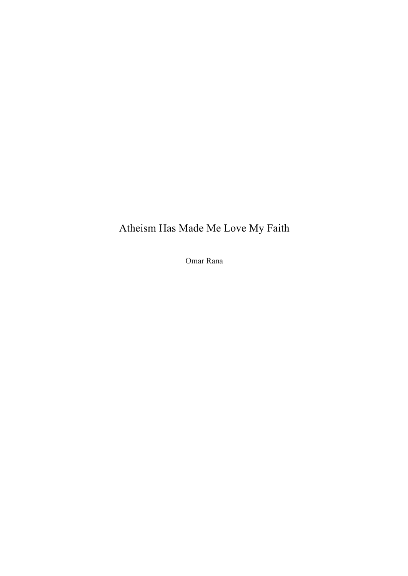## Atheism Has Made Me Love My Faith

Omar Rana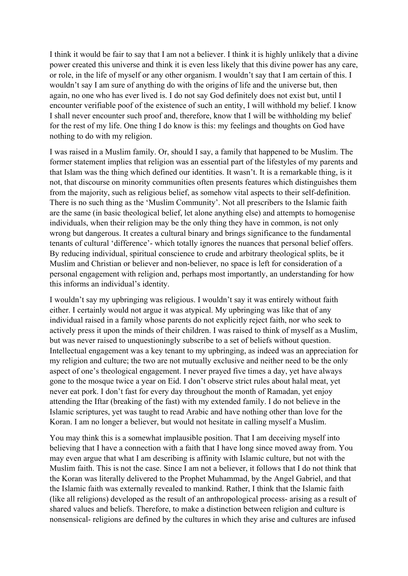I think it would be fair to say that I am not a believer. I think it is highly unlikely that a divine power created this universe and think it is even less likely that this divine power has any care, or role, in the life of myself or any other organism. I wouldn't say that I am certain of this. I wouldn't say I am sure of anything do with the origins of life and the universe but, then again, no one who has ever lived is. I do not say God definitely does not exist but, until I encounter verifiable poof of the existence of such an entity, I will withhold my belief. I know I shall never encounter such proof and, therefore, know that I will be withholding my belief for the rest of my life. One thing I do know is this: my feelings and thoughts on God have nothing to do with my religion.

I was raised in a Muslim family. Or, should I say, a family that happened to be Muslim. The former statement implies that religion was an essential part of the lifestyles of my parents and that Islam was the thing which defined our identities. It wasn't. It is a remarkable thing, is it not, that discourse on minority communities often presents features which distinguishes them from the majority, such as religious belief, as somehow vital aspects to their self-definition. There is no such thing as the 'Muslim Community'. Not all prescribers to the Islamic faith are the same (in basic theological belief, let alone anything else) and attempts to homogenise individuals, when their religion may be the only thing they have in common, is not only wrong but dangerous. It creates a cultural binary and brings significance to the fundamental tenants of cultural 'difference'- which totally ignores the nuances that personal belief offers. By reducing individual, spiritual conscience to crude and arbitrary theological splits, be it Muslim and Christian or believer and non-believer, no space is left for consideration of a personal engagement with religion and, perhaps most importantly, an understanding for how this informs an individual's identity.

I wouldn't say my upbringing was religious. I wouldn't say it was entirely without faith either. I certainly would not argue it was atypical. My upbringing was like that of any individual raised in a family whose parents do not explicitly reject faith, nor who seek to actively press it upon the minds of their children. I was raised to think of myself as a Muslim, but was never raised to unquestioningly subscribe to a set of beliefs without question. Intellectual engagement was a key tenant to my upbringing, as indeed was an appreciation for my religion and culture; the two are not mutually exclusive and neither need to be the only aspect of one's theological engagement. I never prayed five times a day, yet have always gone to the mosque twice a year on Eid. I don't observe strict rules about halal meat, yet never eat pork. I don't fast for every day throughout the month of Ramadan, yet enjoy attending the Iftar (breaking of the fast) with my extended family. I do not believe in the Islamic scriptures, yet was taught to read Arabic and have nothing other than love for the Koran. I am no longer a believer, but would not hesitate in calling myself a Muslim.

You may think this is a somewhat implausible position. That I am deceiving myself into believing that I have a connection with a faith that I have long since moved away from. You may even argue that what I am describing is affinity with Islamic culture, but not with the Muslim faith. This is not the case. Since I am not a believer, it follows that I do not think that the Koran was literally delivered to the Prophet Muhammad, by the Angel Gabriel, and that the Islamic faith was externally revealed to mankind. Rather, I think that the Islamic faith (like all religions) developed as the result of an anthropological process- arising as a result of shared values and beliefs. Therefore, to make a distinction between religion and culture is nonsensical- religions are defined by the cultures in which they arise and cultures are infused